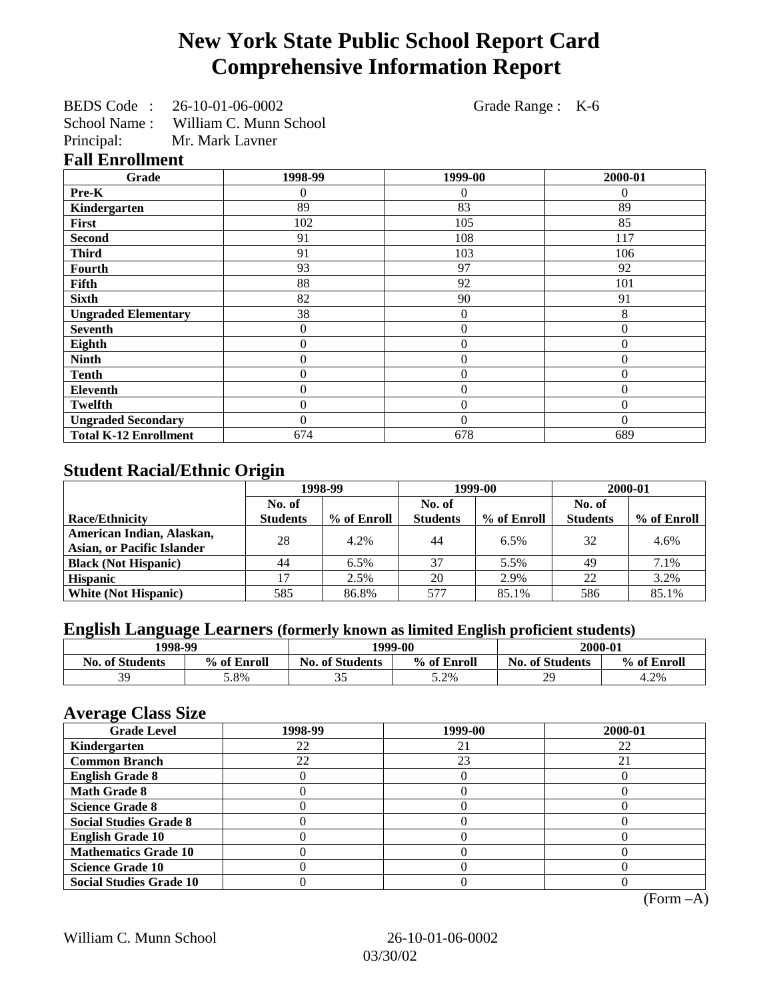# **New York State Public School Report Card Comprehensive Information Report**

|              | BEDS Code: 26-10-01-06-0002 |
|--------------|-----------------------------|
| School Name: | William C. Munn School      |
| Principal:   | Mr. Mark Lavner             |

Grade Range : K-6

#### **Fall Enrollment**

| Grade                        | 1998-99      | 1999-00          | 2000-01  |
|------------------------------|--------------|------------------|----------|
| Pre-K                        | 0            | 0                | $\theta$ |
| Kindergarten                 | 89           | 83               | 89       |
| First                        | 102          | 105              | 85       |
| <b>Second</b>                | 91           | 108              | 117      |
| <b>Third</b>                 | 91           | 103              | 106      |
| <b>Fourth</b>                | 93           | 97               | 92       |
| Fifth                        | 88           | 92               | 101      |
| <b>Sixth</b>                 | 82           | 90               | 91       |
| <b>Ungraded Elementary</b>   | 38           | $\boldsymbol{0}$ | 8        |
| <b>Seventh</b>               | $\mathbf{0}$ | $\boldsymbol{0}$ | $\theta$ |
| Eighth                       | $\theta$     | $\theta$         | $\theta$ |
| <b>Ninth</b>                 | 0            | $\overline{0}$   | $\Omega$ |
| <b>Tenth</b>                 | 0            | $\overline{0}$   | $\theta$ |
| <b>Eleventh</b>              | 0            | $\overline{0}$   | $\theta$ |
| <b>Twelfth</b>               | 0            | $\overline{0}$   | $\theta$ |
| <b>Ungraded Secondary</b>    | 0            | $\theta$         | $\theta$ |
| <b>Total K-12 Enrollment</b> | 674          | 678              | 689      |

## **Student Racial/Ethnic Origin**

|                                   | ີ<br>1998-99    |             | 1999-00         |             | 2000-01         |             |
|-----------------------------------|-----------------|-------------|-----------------|-------------|-----------------|-------------|
|                                   | No. of          |             | No. of          |             | No. of          |             |
| Race/Ethnicity                    | <b>Students</b> | % of Enroll | <b>Students</b> | % of Enroll | <b>Students</b> | % of Enroll |
| American Indian, Alaskan,         | 28              | 4.2%        | 44              | 6.5%        | 32              | 4.6%        |
| <b>Asian, or Pacific Islander</b> |                 |             |                 |             |                 |             |
| <b>Black (Not Hispanic)</b>       | 44              | 6.5%        | 37              | 5.5%        | 49              | 7.1%        |
| <b>Hispanic</b>                   |                 | 2.5%        | 20              | 2.9%        | 22              | 3.2%        |
| <b>White (Not Hispanic)</b>       | 585             | 86.8%       | 577             | 85.1%       | 586             | 85.1%       |

# **English Language Learners (formerly known as limited English proficient students)**

|                        | 1998-99     |                        | 1999-00     |                        | 2000-01     |
|------------------------|-------------|------------------------|-------------|------------------------|-------------|
| <b>No. of Students</b> | % of Enroll | <b>No. of Students</b> | % of Enroll | <b>No. of Students</b> | % of Enroll |
| 39                     | 5.8%        | ັ                      | 5.2%        | 29                     | 4.2%        |

## **Average Class Size**

| $\epsilon$<br><b>Grade Level</b> | 1998-99 | 1999-00 | 2000-01 |
|----------------------------------|---------|---------|---------|
| Kindergarten                     | 22      | 21      | 22      |
| <b>Common Branch</b>             | 22      | 23      | 21      |
| <b>English Grade 8</b>           |         |         |         |
| <b>Math Grade 8</b>              |         |         |         |
| <b>Science Grade 8</b>           |         |         |         |
| <b>Social Studies Grade 8</b>    |         |         |         |
| <b>English Grade 10</b>          |         |         |         |
| <b>Mathematics Grade 10</b>      |         |         |         |
| <b>Science Grade 10</b>          |         |         |         |
| <b>Social Studies Grade 10</b>   |         |         |         |

(Form –A)